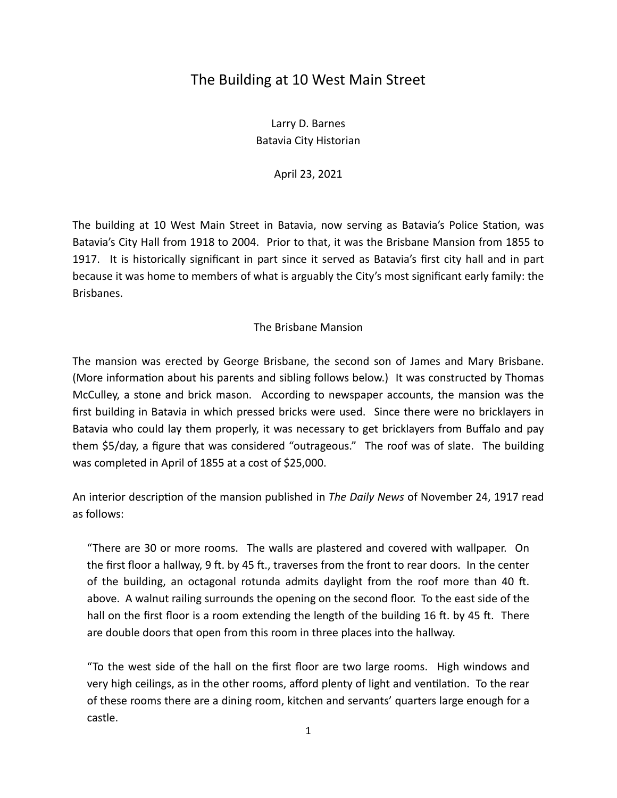## The Building at 10 West Main Street

Larry D. Barnes Batavia City Historian

April 23, 2021

The building at 10 West Main Street in Batavia, now serving as Batavia's Police Station, was Batavia's City Hall from 1918 to 2004. Prior to that, it was the Brisbane Mansion from 1855 to 1917. It is historically significant in part since it served as Batavia's first city hall and in part because it was home to members of what is arguably the City's most significant early family: the Brisbanes.

## The Brisbane Mansion

The mansion was erected by George Brisbane, the second son of James and Mary Brisbane. (More information about his parents and sibling follows below.) It was constructed by Thomas McCulley, a stone and brick mason. According to newspaper accounts, the mansion was the first building in Batavia in which pressed bricks were used. Since there were no bricklayers in Batavia who could lay them properly, it was necessary to get bricklayers from Buffalo and pay them \$5/day, a figure that was considered "outrageous." The roof was of slate. The building was completed in April of 1855 at a cost of \$25,000.

An interior description of the mansion published in *The Daily News* of November 24, 1917 read as follows:

"There are 30 or more rooms. The walls are plastered and covered with wallpaper. On the first floor a hallway, 9 ft. by 45 ft., traverses from the front to rear doors. In the center of the building, an octagonal rotunda admits daylight from the roof more than 40 ft. above. A walnut railing surrounds the opening on the second floor. To the east side of the hall on the first floor is a room extending the length of the building 16 ft. by 45 ft. There are double doors that open from this room in three places into the hallway.

"To the west side of the hall on the first floor are two large rooms. High windows and very high ceilings, as in the other rooms, afford plenty of light and ventilation. To the rear of these rooms there are a dining room, kitchen and servants' quarters large enough for a castle.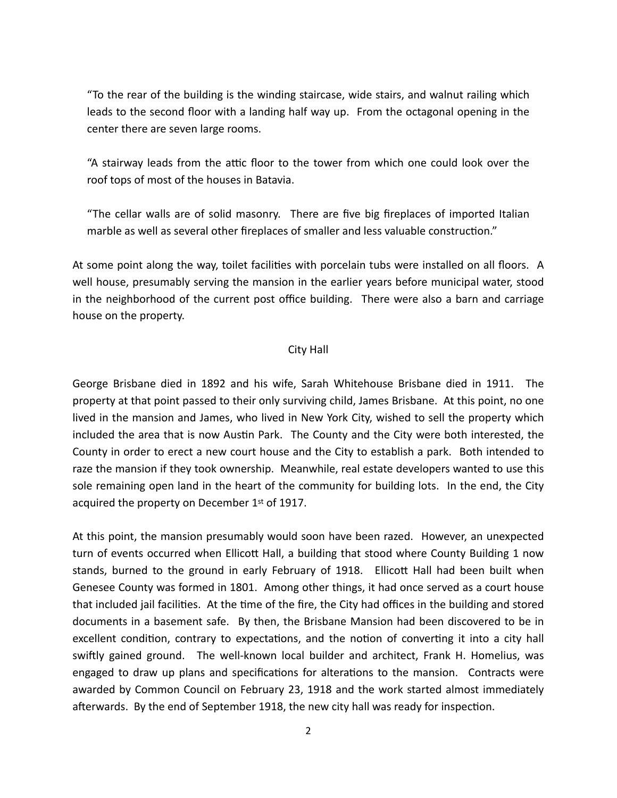"To the rear of the building is the winding staircase, wide stairs, and walnut railing which leads to the second floor with a landing half way up. From the octagonal opening in the center there are seven large rooms.

"A stairway leads from the attic floor to the tower from which one could look over the roof tops of most of the houses in Batavia.

"The cellar walls are of solid masonry. There are five big fireplaces of imported Italian marble as well as several other fireplaces of smaller and less valuable construction."

At some point along the way, toilet facilities with porcelain tubs were installed on all floors. A well house, presumably serving the mansion in the earlier years before municipal water, stood in the neighborhood of the current post office building. There were also a barn and carriage house on the property.

## City Hall

George Brisbane died in 1892 and his wife, Sarah Whitehouse Brisbane died in 1911. The property at that point passed to their only surviving child, James Brisbane. At this point, no one lived in the mansion and James, who lived in New York City, wished to sell the property which included the area that is now Austin Park. The County and the City were both interested, the County in order to erect a new court house and the City to establish a park. Both intended to raze the mansion if they took ownership. Meanwhile, real estate developers wanted to use this sole remaining open land in the heart of the community for building lots. In the end, the City acquired the property on December 1st of 1917.

At this point, the mansion presumably would soon have been razed. However, an unexpected turn of events occurred when Ellicott Hall, a building that stood where County Building 1 now stands, burned to the ground in early February of 1918. Ellicott Hall had been built when Genesee County was formed in 1801. Among other things, it had once served as a court house that included jail facilities. At the time of the fire, the City had offices in the building and stored documents in a basement safe. By then, the Brisbane Mansion had been discovered to be in excellent condition, contrary to expectations, and the notion of converting it into a city hall swiftly gained ground. The well-known local builder and architect, Frank H. Homelius, was engaged to draw up plans and specifications for alterations to the mansion. Contracts were awarded by Common Council on February 23, 1918 and the work started almost immediately afterwards. By the end of September 1918, the new city hall was ready for inspection.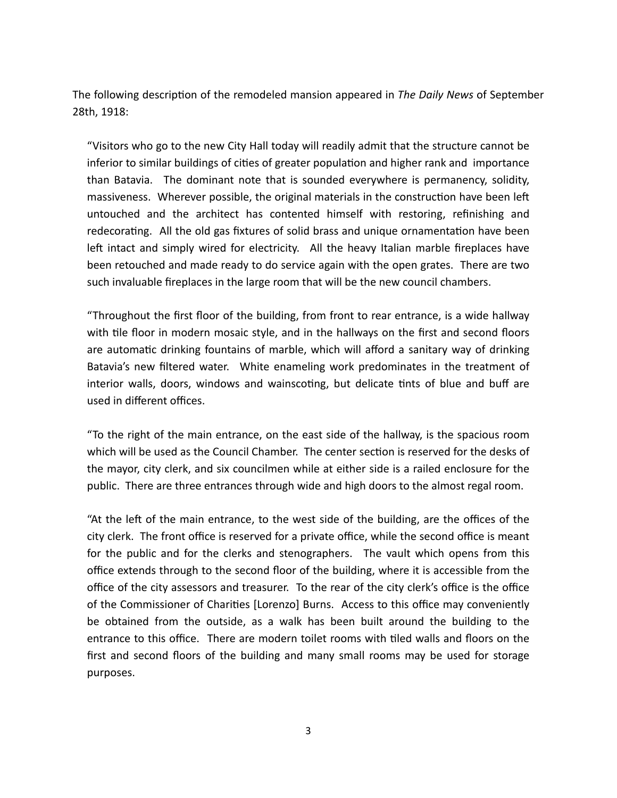The following description of the remodeled mansion appeared in *The Daily News* of September 28th, 1918:

"Visitors who go to the new City Hall today will readily admit that the structure cannot be inferior to similar buildings of cities of greater population and higher rank and importance than Batavia. The dominant note that is sounded everywhere is permanency, solidity, massiveness. Wherever possible, the original materials in the construction have been left untouched and the architect has contented himself with restoring, refinishing and redecorating. All the old gas fixtures of solid brass and unique ornamentation have been left intact and simply wired for electricity. All the heavy Italian marble fireplaces have been retouched and made ready to do service again with the open grates. There are two such invaluable fireplaces in the large room that will be the new council chambers.

"Throughout the first floor of the building, from front to rear entrance, is a wide hallway with tile floor in modern mosaic style, and in the hallways on the first and second floors are automatic drinking fountains of marble, which will afford a sanitary way of drinking Batavia's new filtered water. White enameling work predominates in the treatment of interior walls, doors, windows and wainscoting, but delicate tints of blue and buff are used in different offices.

"To the right of the main entrance, on the east side of the hallway, is the spacious room which will be used as the Council Chamber. The center section is reserved for the desks of the mayor, city clerk, and six councilmen while at either side is a railed enclosure for the public. There are three entrances through wide and high doors to the almost regal room.

"At the left of the main entrance, to the west side of the building, are the offices of the city clerk. The front office is reserved for a private office, while the second office is meant for the public and for the clerks and stenographers. The vault which opens from this office extends through to the second floor of the building, where it is accessible from the office of the city assessors and treasurer. To the rear of the city clerk's office is the office of the Commissioner of Charities [Lorenzo] Burns. Access to this office may conveniently be obtained from the outside, as a walk has been built around the building to the entrance to this office. There are modern toilet rooms with tiled walls and floors on the first and second floors of the building and many small rooms may be used for storage purposes.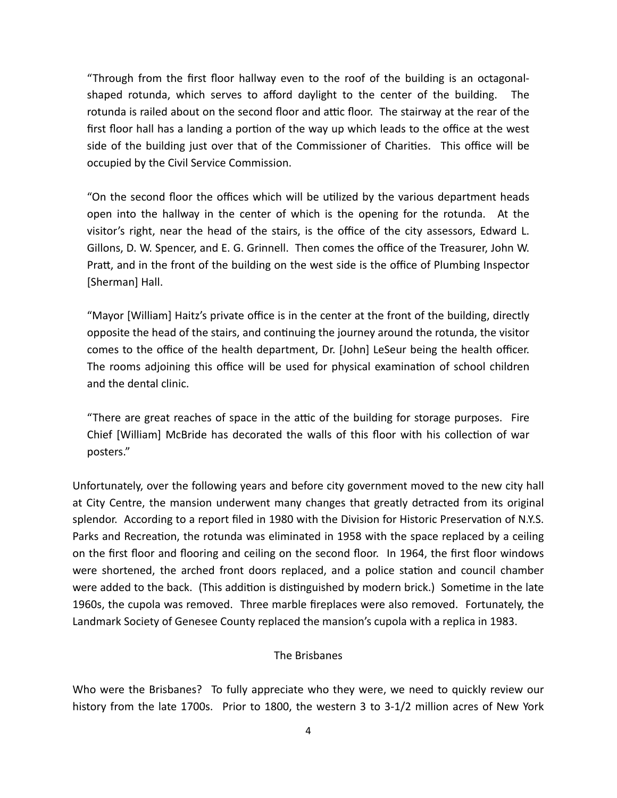"Through from the first floor hallway even to the roof of the building is an octagonalshaped rotunda, which serves to afford daylight to the center of the building. The rotunda is railed about on the second floor and attic floor. The stairway at the rear of the first floor hall has a landing a portion of the way up which leads to the office at the west side of the building just over that of the Commissioner of Charities. This office will be occupied by the Civil Service Commission.

"On the second floor the offices which will be utilized by the various department heads open into the hallway in the center of which is the opening for the rotunda. At the visitor's right, near the head of the stairs, is the office of the city assessors, Edward L. Gillons, D. W. Spencer, and E. G. Grinnell. Then comes the office of the Treasurer, John W. Pratt, and in the front of the building on the west side is the office of Plumbing Inspector [Sherman] Hall.

"Mayor [William] Haitz's private office is in the center at the front of the building, directly opposite the head of the stairs, and continuing the journey around the rotunda, the visitor comes to the office of the health department, Dr. [John] LeSeur being the health officer. The rooms adjoining this office will be used for physical examination of school children and the dental clinic.

"There are great reaches of space in the attic of the building for storage purposes. Fire Chief [William] McBride has decorated the walls of this floor with his collection of war posters."

Unfortunately, over the following years and before city government moved to the new city hall at City Centre, the mansion underwent many changes that greatly detracted from its original splendor. According to a report filed in 1980 with the Division for Historic Preservation of N.Y.S. Parks and Recreation, the rotunda was eliminated in 1958 with the space replaced by a ceiling on the first floor and flooring and ceiling on the second floor. In 1964, the first floor windows were shortened, the arched front doors replaced, and a police station and council chamber were added to the back. (This addition is distinguished by modern brick.) Sometime in the late 1960s, the cupola was removed. Three marble fireplaces were also removed. Fortunately, the Landmark Society of Genesee County replaced the mansion's cupola with a replica in 1983.

## The Brisbanes

Who were the Brisbanes? To fully appreciate who they were, we need to quickly review our history from the late 1700s. Prior to 1800, the western 3 to 3-1/2 million acres of New York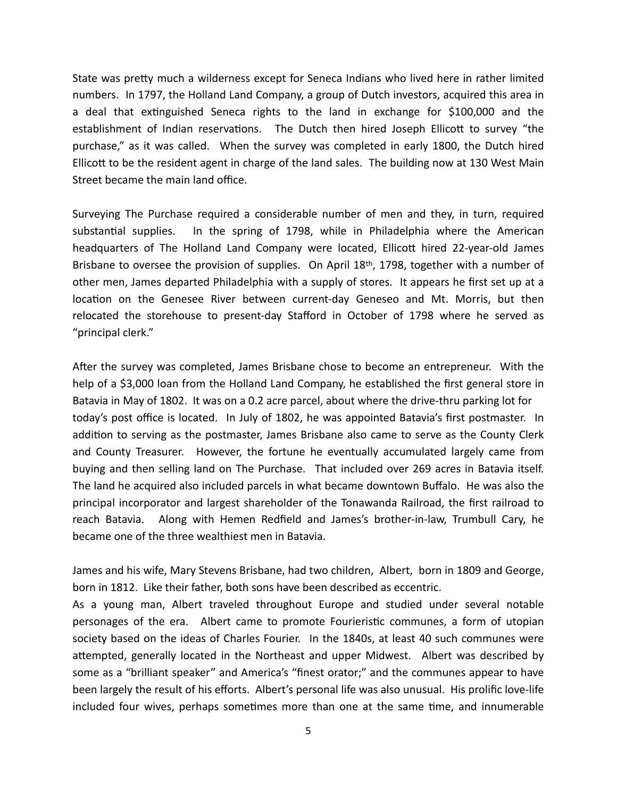State was pretty much a wilderness except for Seneca Indians who lived here in rather limited numbers. In 1797, the Holland Land Company, a group of Dutch investors, acquired this area in a deal that extinguished Seneca rights to the land in exchange for \$100,000 and the establishment of Indian reservations. The Dutch then hired Joseph Ellicott to survey "the purchase," as it was called. When the survey was completed in early 1800, the Dutch hired Ellicott to be the resident agent in charge of the land sales. The building now at 130 West Main Street became the main land office.

Surveying The Purchase required a considerable number of men and they, in turn, required substantial supplies. In the spring of 1798, while in Philadelphia where the American headquarters of The Holland Land Company were located, Ellicott hired 22-year-old James Brisbane to oversee the provision of supplies. On April 18th, 1798, together with a number of other men, James departed Philadelphia with a supply of stores. It appears he first set up at a location on the Genesee River between current-day Geneseo and Mt. Morris, but then relocated the storehouse to present-day Stafford in October of 1798 where he served as "principal clerk."

After the survey was completed, James Brisbane chose to become an entrepreneur. With the help of a \$3,000 loan from the Holland Land Company, he established the first general store in Batavia in May of 1802. It was on a 0.2 acre parcel, about where the drive-thru parking lot for today's post office is located. In July of 1802, he was appointed Batavia's first postmaster. In addition to serving as the postmaster, James Brisbane also came to serve as the County Clerk and County Treasurer. However, the fortune he eventually accumulated largely came from buying and then selling land on The Purchase. That included over 269 acres in Batavia itself. The land he acquired also included parcels in what became downtown Buffalo. He was also the principal incorporator and largest shareholder of the Tonawanda Railroad, the first railroad to reach Batavia. Along with Hemen Redfield and James's brother-in-law, Trumbull Cary, he became one of the three wealthiest men in Batavia.

James and his wife, Mary Stevens Brisbane, had two children, Albert, born in 1809 and George, born in 1812. Like their father, both sons have been described as eccentric.

As a young man, Albert traveled throughout Europe and studied under several notable personages of the era. Albert came to promote Fourieristic communes, a form of utopian society based on the ideas of Charles Fourier. In the 1840s, at least 40 such communes were attempted, generally located in the Northeast and upper Midwest. Albert was described by some as a "brilliant speaker" and America's "finest orator;" and the communes appear to have been largely the result of his efforts. Albert's personal life was also unusual. His prolific love-life included four wives, perhaps sometimes more than one at the same time, and innumerable